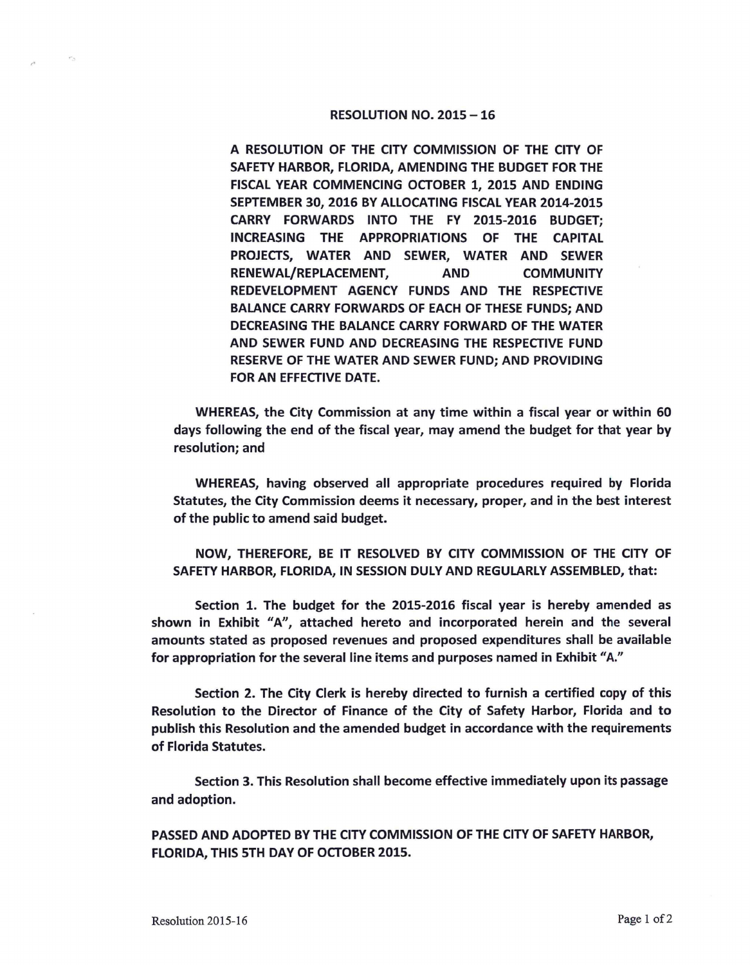## RESOLUTION NO. 2015 - 16

A RESOLUTION OF THE CITY COMMISSION OF THE CITY OF SAFETY HARBOR, FLORIDA, AMENDING THE BUDGET FOR THE FISCAL YEAR COMMENCING OCTOBER 1, 2015 AND ENDING SEPTEMBER 30, 2016 BY ALLOCATING FISCAL YEAR 2014-2015 **CARRY FORWARDS** INTO THE FY 2015-2016 BUDGET; **INCREASING** THE **APPROPRIATIONS** OF THE CAPITAL PROJECTS, WATER **AND SEWER,** WATER AND SEWER **RENEWAL/REPLACEMENT, AND COMMUNITY REDEVELOPMENT AGENCY** FUNDS AND THE RESPECTIVE **BALANCE CARRY FORWARDS** OF EACH OF THESE FUNDS; AND **DECREASING** THE **BALANCE CARRY FORWARD** OF THE **WATER AND SEWER** FUND **AND DECREASING** THE **RESPECTIVE FUND RESERVE** OF THE **WATER AND SEWER FUND; AND PROVIDING**  FOR AN EFFECTIVE DATE.

WHEREAS, the City Commission at any time within a fiscal year or within 60 days following the end of the fiscal year, may amend the budget for that year by resolution; and

WHEREAS, having observed all appropriate procedures required by Florida Statutes, the City Commission deems it necessary, proper, and in the best interest of the public to amend said budget.

**NOW,** THEREFORE, BE IT RESOLVED BY CITY **COMMISSION** OF THE CITY OF SAFETY HARBOR, FLORIDA, IN SESSION DULY AND REGULARLY ASSEMBLED, that:

Section 1. The budget for the 2015-2016 fiscal year is hereby amended as shown in Exhibit "A", attached hereto and incorporated herein and the several amounts stated as proposed revenues and proposed expenditures shall be available for appropriation for the several line items and purposes named in Exhibit "A."

Section 2. The City Clerk is hereby directed to furnish a certified copy of this Resolution to the Director of Finance of the City of Safety Harbor, Florida and to publish this Resolution and the amended budget in accordance with the requirements of Florida Statutes.

Section 3. This Resolution shall become effective immediately upon its passage and adoption.

**PASSED AND ADOPTED BY THE CITY COMMISSION OF THE CITY OF SAFETY HARBOR, FLORIDA, THIS 5TH DAY OF OCTOBER 2015.**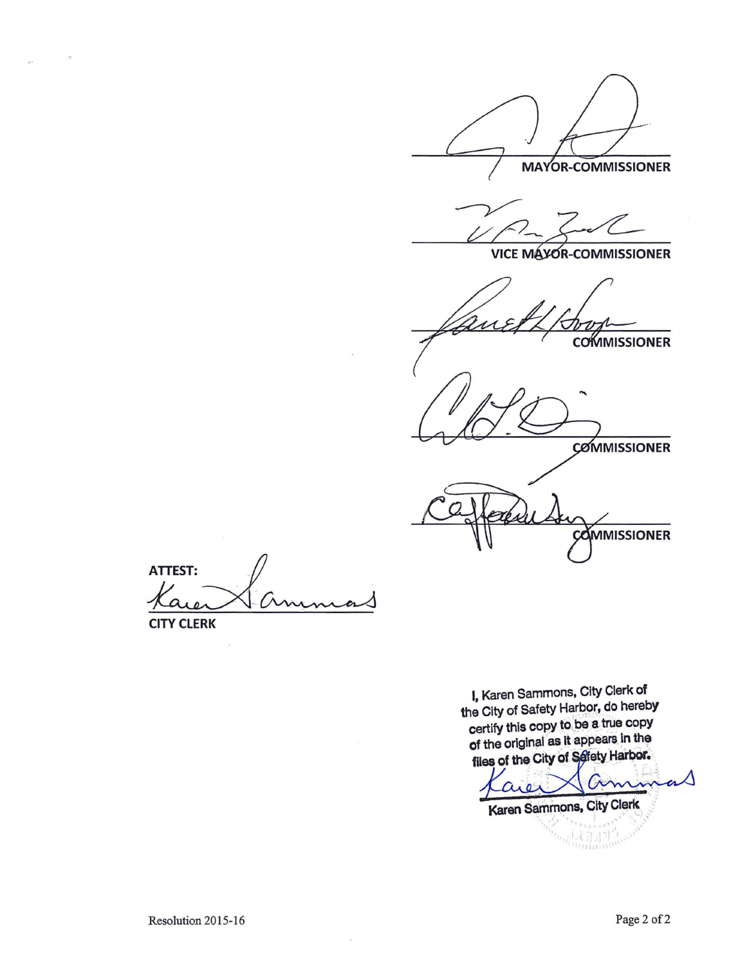**MAYOR-COMMISSIONER** 

**VICE MAYOR-COMMISSIONER** 

**COMMISSIONER** 

**COMMISSIONER** 

**COMMISSIONER** 

**ATTEST: CITY CLERK** 

 $\overline{\phantom{a}}$ 

 $\mathbf{r}$ 

I, Karen Sammons, City Clerk of the City of Safety Harbor, do hereby certify this copy to be a true copy of the original as it appears in the files of the City of Safety Harbor.

n are Karen Sammons, City Clerk  $\mathbf{r}_{\alpha,\mathbf{v},\alpha}$ 

 $\mathcal{P}_{\mathcal{P}_{\mathcal{P}_{\mathcal{V}_{\mathcal{V}_{\mathcal{V}_{\mathcal{V}_{\mathcal{V}_{\mathcal{V}_{\mathcal{V}}\mathcal{V}_{\mathcal{V}}\mathcal{V}_{\mathcal{V}}\mathcal{V}_{\mathcal{V}}\mathcal{V}_{\mathcal{V}}\mathcal{V}_{\mathcal{V}}\mathcal{V}_{\mathcal{V}}\mathcal{V}_{\mathcal{V}_{\mathcal{V}}\mathcal{V}_{\mathcal{V}}\mathcal{V}_{\mathcal{V}}\mathcal{V}_{\mathcal{V}}\mathcal{V}_{\mathcal{V}_{\mathcal{V}_{\mathcal{V}}\mathcal{V}_{\mathcal{$ 

 $\ddot{\phantom{a}}$